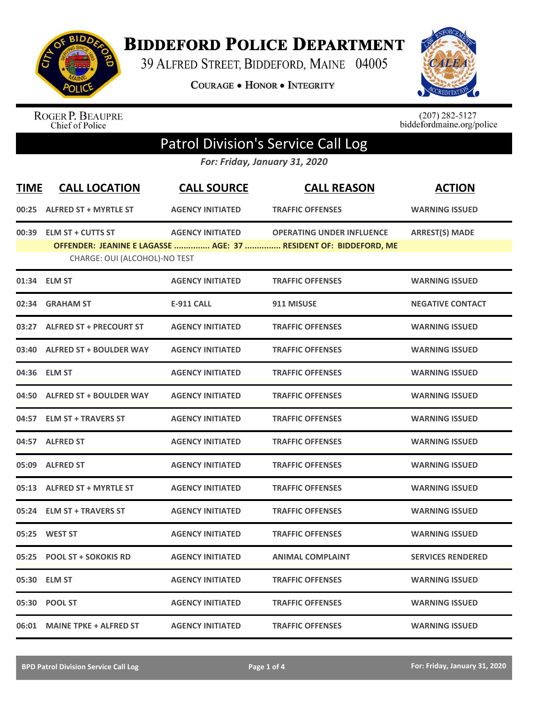

**BIDDEFORD POLICE DEPARTMENT** 

39 ALFRED STREET, BIDDEFORD, MAINE 04005

**COURAGE . HONOR . INTEGRITY** 



ROGER P. BEAUPRE<br>Chief of Police

 $(207)$  282-5127<br>biddefordmaine.org/police

## Patrol Division's Service Call Log

*For: Friday, January 31, 2020*

| <b>TIME</b> | <b>CALL LOCATION</b>                                     | <b>CALL SOURCE</b>      | <b>CALL REASON</b>                                                                                   | <b>ACTION</b>            |
|-------------|----------------------------------------------------------|-------------------------|------------------------------------------------------------------------------------------------------|--------------------------|
|             | 00:25 ALFRED ST + MYRTLE ST                              | <b>AGENCY INITIATED</b> | <b>TRAFFIC OFFENSES</b>                                                                              | <b>WARNING ISSUED</b>    |
|             | 00:39 ELM ST + CUTTS ST<br>CHARGE: OUI (ALCOHOL)-NO TEST | <b>AGENCY INITIATED</b> | <b>OPERATING UNDER INFLUENCE</b><br>OFFENDER: JEANINE E LAGASSE  AGE: 37  RESIDENT OF: BIDDEFORD, ME | <b>ARREST(S) MADE</b>    |
|             | 01:34 ELM ST                                             | <b>AGENCY INITIATED</b> | <b>TRAFFIC OFFENSES</b>                                                                              | <b>WARNING ISSUED</b>    |
|             | 02:34 GRAHAM ST                                          | <b>E-911 CALL</b>       | 911 MISUSE                                                                                           | <b>NEGATIVE CONTACT</b>  |
|             | 03:27 ALFRED ST + PRECOURT ST                            | <b>AGENCY INITIATED</b> | <b>TRAFFIC OFFENSES</b>                                                                              | <b>WARNING ISSUED</b>    |
|             | 03:40 ALFRED ST + BOULDER WAY                            | <b>AGENCY INITIATED</b> | <b>TRAFFIC OFFENSES</b>                                                                              | <b>WARNING ISSUED</b>    |
|             | 04:36 ELM ST                                             | <b>AGENCY INITIATED</b> | <b>TRAFFIC OFFENSES</b>                                                                              | <b>WARNING ISSUED</b>    |
|             | 04:50 ALFRED ST + BOULDER WAY                            | <b>AGENCY INITIATED</b> | <b>TRAFFIC OFFENSES</b>                                                                              | <b>WARNING ISSUED</b>    |
|             | 04:57 ELM ST + TRAVERS ST                                | <b>AGENCY INITIATED</b> | <b>TRAFFIC OFFENSES</b>                                                                              | <b>WARNING ISSUED</b>    |
|             | 04:57 ALFRED ST                                          | <b>AGENCY INITIATED</b> | <b>TRAFFIC OFFENSES</b>                                                                              | <b>WARNING ISSUED</b>    |
|             | 05:09 ALFRED ST                                          | <b>AGENCY INITIATED</b> | <b>TRAFFIC OFFENSES</b>                                                                              | <b>WARNING ISSUED</b>    |
|             | 05:13 ALFRED ST + MYRTLE ST                              | <b>AGENCY INITIATED</b> | <b>TRAFFIC OFFENSES</b>                                                                              | <b>WARNING ISSUED</b>    |
|             | 05:24 ELM ST + TRAVERS ST                                | <b>AGENCY INITIATED</b> | <b>TRAFFIC OFFENSES</b>                                                                              | <b>WARNING ISSUED</b>    |
|             | 05:25 WEST ST                                            | <b>AGENCY INITIATED</b> | <b>TRAFFIC OFFENSES</b>                                                                              | <b>WARNING ISSUED</b>    |
|             | 05:25 POOL ST + SOKOKIS RD                               | <b>AGENCY INITIATED</b> | <b>ANIMAL COMPLAINT</b>                                                                              | <b>SERVICES RENDERED</b> |
|             | 05:30 ELM ST                                             | <b>AGENCY INITIATED</b> | <b>TRAFFIC OFFENSES</b>                                                                              | <b>WARNING ISSUED</b>    |
|             | 05:30 POOL ST                                            | <b>AGENCY INITIATED</b> | <b>TRAFFIC OFFENSES</b>                                                                              | <b>WARNING ISSUED</b>    |
|             | 06:01 MAINE TPKE + ALFRED ST                             | <b>AGENCY INITIATED</b> | <b>TRAFFIC OFFENSES</b>                                                                              | <b>WARNING ISSUED</b>    |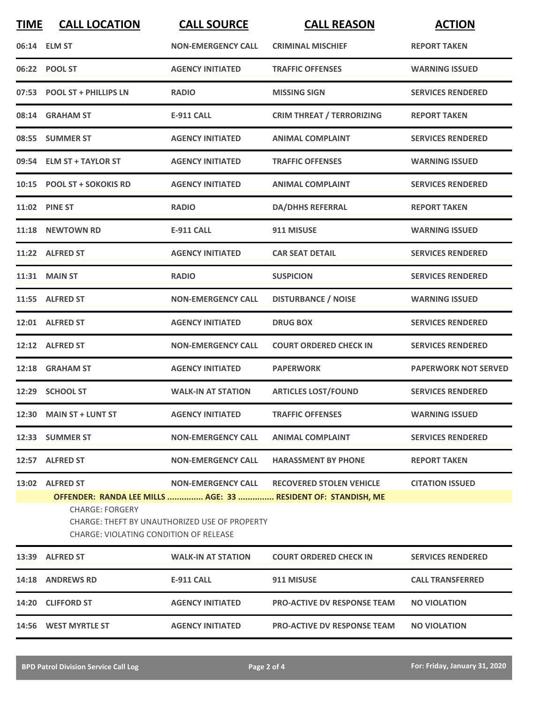| <b>TIME</b> | <b>CALL LOCATION</b>                                                    | <b>CALL SOURCE</b>                            | <b>CALL REASON</b>                                                                               | <b>ACTION</b>               |
|-------------|-------------------------------------------------------------------------|-----------------------------------------------|--------------------------------------------------------------------------------------------------|-----------------------------|
|             | 06:14 ELM ST                                                            | <b>NON-EMERGENCY CALL</b>                     | <b>CRIMINAL MISCHIEF</b>                                                                         | <b>REPORT TAKEN</b>         |
|             | 06:22 POOL ST                                                           | <b>AGENCY INITIATED</b>                       | <b>TRAFFIC OFFENSES</b>                                                                          | <b>WARNING ISSUED</b>       |
|             | 07:53 POOL ST + PHILLIPS LN                                             | <b>RADIO</b>                                  | <b>MISSING SIGN</b>                                                                              | <b>SERVICES RENDERED</b>    |
|             | 08:14 GRAHAM ST                                                         | <b>E-911 CALL</b>                             | <b>CRIM THREAT / TERRORIZING</b>                                                                 | <b>REPORT TAKEN</b>         |
|             | 08:55 SUMMER ST                                                         | <b>AGENCY INITIATED</b>                       | <b>ANIMAL COMPLAINT</b>                                                                          | <b>SERVICES RENDERED</b>    |
|             | 09:54 ELM ST + TAYLOR ST                                                | <b>AGENCY INITIATED</b>                       | <b>TRAFFIC OFFENSES</b>                                                                          | <b>WARNING ISSUED</b>       |
|             | 10:15 POOL ST + SOKOKIS RD                                              | <b>AGENCY INITIATED</b>                       | <b>ANIMAL COMPLAINT</b>                                                                          | <b>SERVICES RENDERED</b>    |
|             | 11:02 PINE ST                                                           | <b>RADIO</b>                                  | <b>DA/DHHS REFERRAL</b>                                                                          | <b>REPORT TAKEN</b>         |
|             | 11:18 NEWTOWN RD                                                        | <b>E-911 CALL</b>                             | 911 MISUSE                                                                                       | <b>WARNING ISSUED</b>       |
|             | 11:22 ALFRED ST                                                         | <b>AGENCY INITIATED</b>                       | <b>CAR SEAT DETAIL</b>                                                                           | <b>SERVICES RENDERED</b>    |
|             | <b>11:31 MAIN ST</b>                                                    | <b>RADIO</b>                                  | <b>SUSPICION</b>                                                                                 | <b>SERVICES RENDERED</b>    |
|             | 11:55 ALFRED ST                                                         | <b>NON-EMERGENCY CALL</b>                     | <b>DISTURBANCE / NOISE</b>                                                                       | <b>WARNING ISSUED</b>       |
|             | 12:01 ALFRED ST                                                         | <b>AGENCY INITIATED</b>                       | <b>DRUG BOX</b>                                                                                  | <b>SERVICES RENDERED</b>    |
|             | 12:12 ALFRED ST                                                         | <b>NON-EMERGENCY CALL</b>                     | <b>COURT ORDERED CHECK IN</b>                                                                    | <b>SERVICES RENDERED</b>    |
|             | 12:18 GRAHAM ST                                                         | <b>AGENCY INITIATED</b>                       | <b>PAPERWORK</b>                                                                                 | <b>PAPERWORK NOT SERVED</b> |
|             | 12:29 SCHOOL ST                                                         | <b>WALK-IN AT STATION</b>                     | <b>ARTICLES LOST/FOUND</b>                                                                       | <b>SERVICES RENDERED</b>    |
|             | 12:30 MAIN ST + LUNT ST                                                 | <b>AGENCY INITIATED</b>                       | <b>TRAFFIC OFFENSES</b>                                                                          | <b>WARNING ISSUED</b>       |
|             | 12:33 SUMMER ST                                                         | <b>NON-EMERGENCY CALL</b>                     | <b>ANIMAL COMPLAINT</b>                                                                          | <b>SERVICES RENDERED</b>    |
|             | 12:57 ALFRED ST                                                         | <b>NON-EMERGENCY CALL</b>                     | <b>HARASSMENT BY PHONE</b>                                                                       | <b>REPORT TAKEN</b>         |
|             | 13:02 ALFRED ST                                                         | <b>NON-EMERGENCY CALL</b>                     | <b>RECOVERED STOLEN VEHICLE</b><br>OFFENDER: RANDA LEE MILLS  AGE: 33  RESIDENT OF: STANDISH, ME | <b>CITATION ISSUED</b>      |
|             | <b>CHARGE: FORGERY</b><br><b>CHARGE: VIOLATING CONDITION OF RELEASE</b> | CHARGE: THEFT BY UNAUTHORIZED USE OF PROPERTY |                                                                                                  |                             |
|             | 13:39 ALFRED ST                                                         | <b>WALK-IN AT STATION</b>                     | <b>COURT ORDERED CHECK IN</b>                                                                    | <b>SERVICES RENDERED</b>    |
|             | 14:18 ANDREWS RD                                                        | <b>E-911 CALL</b>                             | 911 MISUSE                                                                                       | <b>CALL TRANSFERRED</b>     |
|             | 14:20 CLIFFORD ST                                                       | <b>AGENCY INITIATED</b>                       | <b>PRO-ACTIVE DV RESPONSE TEAM</b>                                                               | <b>NO VIOLATION</b>         |
|             | 14:56 WEST MYRTLE ST                                                    | <b>AGENCY INITIATED</b>                       | <b>PRO-ACTIVE DV RESPONSE TEAM</b>                                                               | <b>NO VIOLATION</b>         |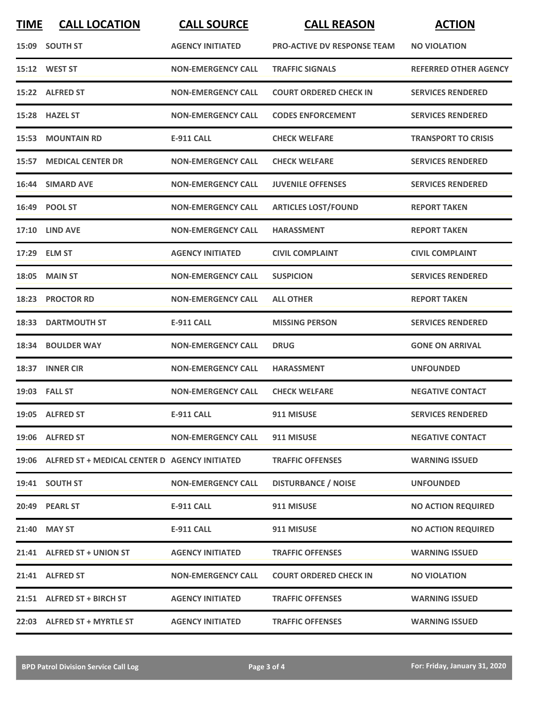| <b>TIME</b> | <b>CALL LOCATION</b>                                | <b>CALL SOURCE</b>        | <b>CALL REASON</b>                 | <b>ACTION</b>                |
|-------------|-----------------------------------------------------|---------------------------|------------------------------------|------------------------------|
|             | 15:09 SOUTH ST                                      | <b>AGENCY INITIATED</b>   | <b>PRO-ACTIVE DV RESPONSE TEAM</b> | <b>NO VIOLATION</b>          |
|             | 15:12 WEST ST                                       | <b>NON-EMERGENCY CALL</b> | <b>TRAFFIC SIGNALS</b>             | <b>REFERRED OTHER AGENCY</b> |
|             | 15:22 ALFRED ST                                     | <b>NON-EMERGENCY CALL</b> | <b>COURT ORDERED CHECK IN</b>      | <b>SERVICES RENDERED</b>     |
|             | 15:28 HAZEL ST                                      | <b>NON-EMERGENCY CALL</b> | <b>CODES ENFORCEMENT</b>           | <b>SERVICES RENDERED</b>     |
| 15:53       | <b>MOUNTAIN RD</b>                                  | E-911 CALL                | <b>CHECK WELFARE</b>               | <b>TRANSPORT TO CRISIS</b>   |
|             | <b>15:57 MEDICAL CENTER DR</b>                      | <b>NON-EMERGENCY CALL</b> | <b>CHECK WELFARE</b>               | <b>SERVICES RENDERED</b>     |
|             | 16:44 SIMARD AVE                                    | <b>NON-EMERGENCY CALL</b> | <b>JUVENILE OFFENSES</b>           | <b>SERVICES RENDERED</b>     |
| 16:49       | <b>POOL ST</b>                                      | <b>NON-EMERGENCY CALL</b> | <b>ARTICLES LOST/FOUND</b>         | <b>REPORT TAKEN</b>          |
|             | <b>17:10 LIND AVE</b>                               | <b>NON-EMERGENCY CALL</b> | <b>HARASSMENT</b>                  | <b>REPORT TAKEN</b>          |
|             | 17:29 ELM ST                                        | <b>AGENCY INITIATED</b>   | <b>CIVIL COMPLAINT</b>             | <b>CIVIL COMPLAINT</b>       |
|             | <b>18:05 MAIN ST</b>                                | <b>NON-EMERGENCY CALL</b> | <b>SUSPICION</b>                   | <b>SERVICES RENDERED</b>     |
|             | 18:23 PROCTOR RD                                    | <b>NON-EMERGENCY CALL</b> | <b>ALL OTHER</b>                   | <b>REPORT TAKEN</b>          |
| 18:33       | <b>DARTMOUTH ST</b>                                 | <b>E-911 CALL</b>         | <b>MISSING PERSON</b>              | <b>SERVICES RENDERED</b>     |
| 18:34       | <b>BOULDER WAY</b>                                  | <b>NON-EMERGENCY CALL</b> | <b>DRUG</b>                        | <b>GONE ON ARRIVAL</b>       |
|             | 18:37 INNER CIR                                     | <b>NON-EMERGENCY CALL</b> | <b>HARASSMENT</b>                  | <b>UNFOUNDED</b>             |
|             | 19:03 FALL ST                                       | <b>NON-EMERGENCY CALL</b> | <b>CHECK WELFARE</b>               | <b>NEGATIVE CONTACT</b>      |
|             | 19:05 ALFRED ST                                     | <b>E-911 CALL</b>         | 911 MISUSE                         | <b>SERVICES RENDERED</b>     |
|             | 19:06 ALFRED ST                                     | <b>NON-EMERGENCY CALL</b> | 911 MISUSE                         | <b>NEGATIVE CONTACT</b>      |
|             | 19:06 ALFRED ST + MEDICAL CENTER D AGENCY INITIATED |                           | <b>TRAFFIC OFFENSES</b>            | <b>WARNING ISSUED</b>        |
|             | 19:41 SOUTH ST                                      | <b>NON-EMERGENCY CALL</b> | <b>DISTURBANCE / NOISE</b>         | <b>UNFOUNDED</b>             |
|             | 20:49 PEARL ST                                      | <b>E-911 CALL</b>         | 911 MISUSE                         | <b>NO ACTION REQUIRED</b>    |
|             | 21:40 MAY ST                                        | <b>E-911 CALL</b>         | 911 MISUSE                         | <b>NO ACTION REQUIRED</b>    |
|             | 21:41 ALFRED ST + UNION ST                          | <b>AGENCY INITIATED</b>   | <b>TRAFFIC OFFENSES</b>            | <b>WARNING ISSUED</b>        |
|             | 21:41 ALFRED ST                                     | <b>NON-EMERGENCY CALL</b> | <b>COURT ORDERED CHECK IN</b>      | <b>NO VIOLATION</b>          |
|             | 21:51 ALFRED ST + BIRCH ST                          | <b>AGENCY INITIATED</b>   | <b>TRAFFIC OFFENSES</b>            | <b>WARNING ISSUED</b>        |
|             | 22:03 ALFRED ST + MYRTLE ST                         | <b>AGENCY INITIATED</b>   | <b>TRAFFIC OFFENSES</b>            | <b>WARNING ISSUED</b>        |